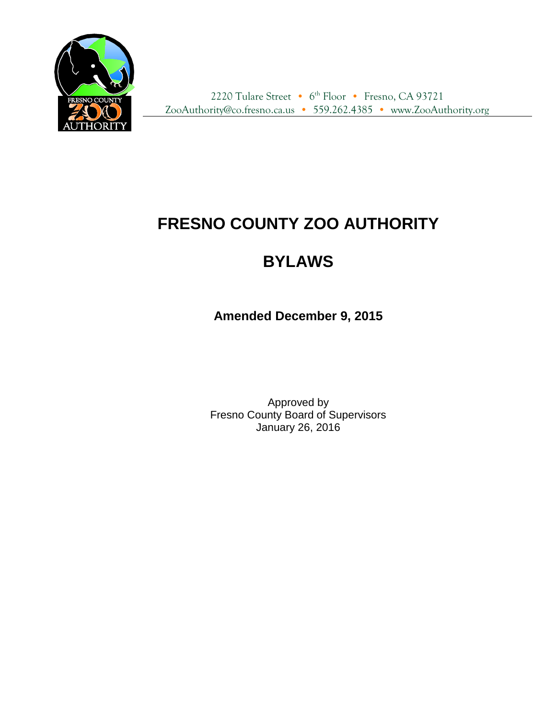

2220 Tulare Street • 6<sup>th</sup> Floor • Fresno, CA 93721 ZooAuthority@co.fresno.ca.us • 559.262.4385 • www.ZooAuthority.org

# **FRESNO COUNTY ZOO AUTHORITY**

## **BYLAWS**

**Amended December 9, 2015**

Approved by Fresno County Board of Supervisors January 26, 2016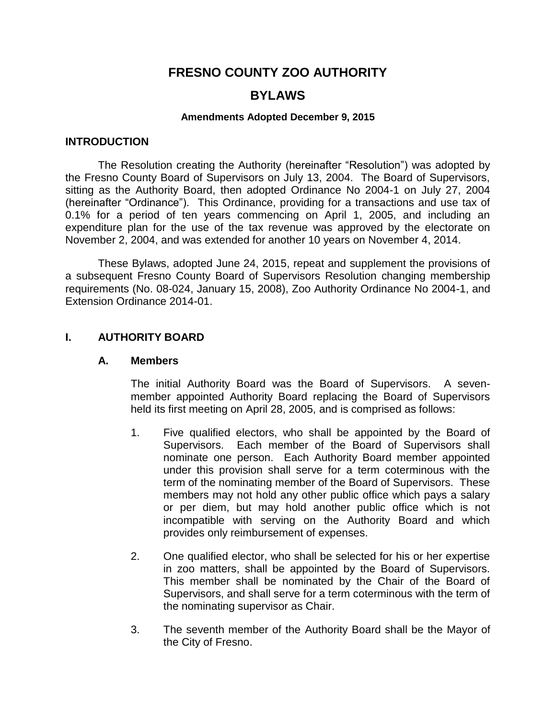## **FRESNO COUNTY ZOO AUTHORITY**

## **BYLAWS**

#### **Amendments Adopted December 9, 2015**

#### **INTRODUCTION**

The Resolution creating the Authority (hereinafter "Resolution") was adopted by the Fresno County Board of Supervisors on July 13, 2004. The Board of Supervisors, sitting as the Authority Board, then adopted Ordinance No 2004-1 on July 27, 2004 (hereinafter "Ordinance"). This Ordinance, providing for a transactions and use tax of 0.1% for a period of ten years commencing on April 1, 2005, and including an expenditure plan for the use of the tax revenue was approved by the electorate on November 2, 2004, and was extended for another 10 years on November 4, 2014.

These Bylaws, adopted June 24, 2015, repeat and supplement the provisions of a subsequent Fresno County Board of Supervisors Resolution changing membership requirements (No. 08-024, January 15, 2008), Zoo Authority Ordinance No 2004-1, and Extension Ordinance 2014-01.

#### **I. AUTHORITY BOARD**

#### **A. Members**

The initial Authority Board was the Board of Supervisors. A sevenmember appointed Authority Board replacing the Board of Supervisors held its first meeting on April 28, 2005, and is comprised as follows:

- 1. Five qualified electors, who shall be appointed by the Board of Supervisors. Each member of the Board of Supervisors shall nominate one person. Each Authority Board member appointed under this provision shall serve for a term coterminous with the term of the nominating member of the Board of Supervisors. These members may not hold any other public office which pays a salary or per diem, but may hold another public office which is not incompatible with serving on the Authority Board and which provides only reimbursement of expenses.
- 2. One qualified elector, who shall be selected for his or her expertise in zoo matters, shall be appointed by the Board of Supervisors. This member shall be nominated by the Chair of the Board of Supervisors, and shall serve for a term coterminous with the term of the nominating supervisor as Chair.
- 3. The seventh member of the Authority Board shall be the Mayor of the City of Fresno.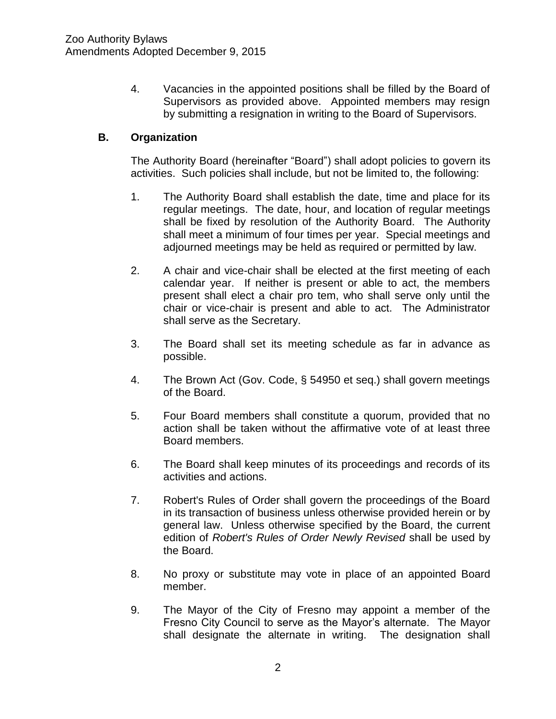4. Vacancies in the appointed positions shall be filled by the Board of Supervisors as provided above. Appointed members may resign by submitting a resignation in writing to the Board of Supervisors.

#### **B. Organization**

The Authority Board (hereinafter "Board") shall adopt policies to govern its activities. Such policies shall include, but not be limited to, the following:

- 1. The Authority Board shall establish the date, time and place for its regular meetings. The date, hour, and location of regular meetings shall be fixed by resolution of the Authority Board. The Authority shall meet a minimum of four times per year. Special meetings and adjourned meetings may be held as required or permitted by law.
- 2. A chair and vice-chair shall be elected at the first meeting of each calendar year. If neither is present or able to act, the members present shall elect a chair pro tem, who shall serve only until the chair or vice-chair is present and able to act. The Administrator shall serve as the Secretary.
- 3. The Board shall set its meeting schedule as far in advance as possible.
- 4. The Brown Act (Gov. Code, § 54950 et seq.) shall govern meetings of the Board.
- 5. Four Board members shall constitute a quorum, provided that no action shall be taken without the affirmative vote of at least three Board members.
- 6. The Board shall keep minutes of its proceedings and records of its activities and actions.
- 7. Robert's Rules of Order shall govern the proceedings of the Board in its transaction of business unless otherwise provided herein or by general law. Unless otherwise specified by the Board, the current edition of *Robert's Rules of Order Newly Revised* shall be used by the Board.
- 8. No proxy or substitute may vote in place of an appointed Board member.
- 9. The Mayor of the City of Fresno may appoint a member of the Fresno City Council to serve as the Mayor's alternate. The Mayor shall designate the alternate in writing. The designation shall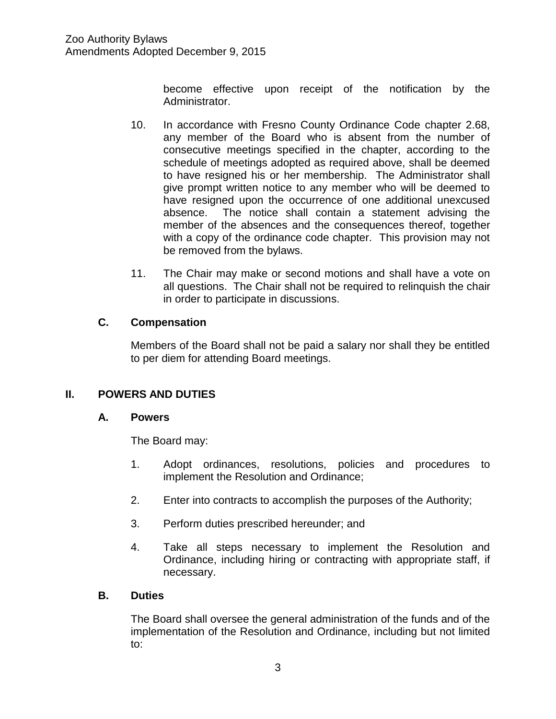become effective upon receipt of the notification by the Administrator.

- 10. In accordance with Fresno County Ordinance Code chapter 2.68, any member of the Board who is absent from the number of consecutive meetings specified in the chapter, according to the schedule of meetings adopted as required above, shall be deemed to have resigned his or her membership. The Administrator shall give prompt written notice to any member who will be deemed to have resigned upon the occurrence of one additional unexcused absence. The notice shall contain a statement advising the member of the absences and the consequences thereof, together with a copy of the ordinance code chapter. This provision may not be removed from the bylaws.
- 11. The Chair may make or second motions and shall have a vote on all questions. The Chair shall not be required to relinquish the chair in order to participate in discussions.

## **C. Compensation**

Members of the Board shall not be paid a salary nor shall they be entitled to per diem for attending Board meetings.

## **II. POWERS AND DUTIES**

#### **A. Powers**

The Board may:

- 1. Adopt ordinances, resolutions, policies and procedures to implement the Resolution and Ordinance;
- 2. Enter into contracts to accomplish the purposes of the Authority;
- 3. Perform duties prescribed hereunder; and
- 4. Take all steps necessary to implement the Resolution and Ordinance, including hiring or contracting with appropriate staff, if necessary.

#### **B. Duties**

The Board shall oversee the general administration of the funds and of the implementation of the Resolution and Ordinance, including but not limited to: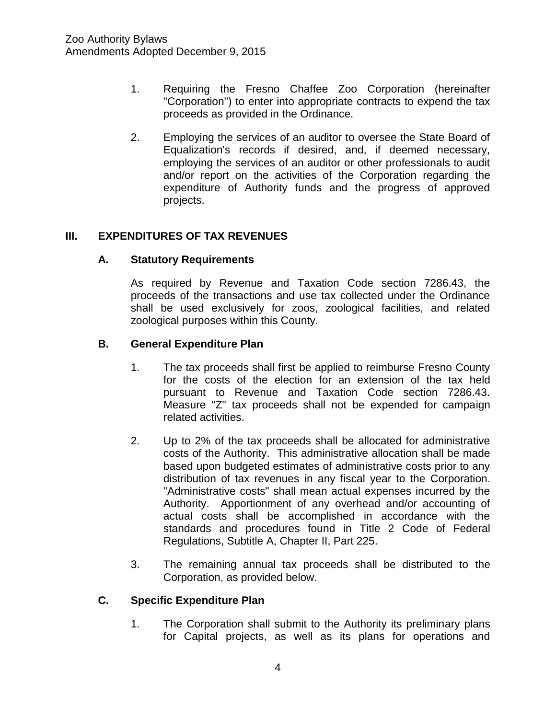- 1. Requiring the Fresno Chaffee Zoo Corporation (hereinafter "Corporation") to enter into appropriate contracts to expend the tax proceeds as provided in the Ordinance.
- 2. Employing the services of an auditor to oversee the State Board of Equalization's records if desired, and, if deemed necessary, employing the services of an auditor or other professionals to audit and/or report on the activities of the Corporation regarding the expenditure of Authority funds and the progress of approved projects.

## **III. EXPENDITURES OF TAX REVENUES**

#### **A. Statutory Requirements**

As required by Revenue and Taxation Code section 7286.43, the proceeds of the transactions and use tax collected under the Ordinance shall be used exclusively for zoos, zoological facilities, and related zoological purposes within this County.

#### **B. General Expenditure Plan**

- 1. The tax proceeds shall first be applied to reimburse Fresno County for the costs of the election for an extension of the tax held pursuant to Revenue and Taxation Code section 7286.43. Measure "Z" tax proceeds shall not be expended for campaign related activities.
- 2. Up to 2% of the tax proceeds shall be allocated for administrative costs of the Authority. This administrative allocation shall be made based upon budgeted estimates of administrative costs prior to any distribution of tax revenues in any fiscal year to the Corporation. "Administrative costs" shall mean actual expenses incurred by the Authority. Apportionment of any overhead and/or accounting of actual costs shall be accomplished in accordance with the standards and procedures found in Title 2 Code of Federal Regulations, Subtitle A, Chapter II, Part 225.
- 3. The remaining annual tax proceeds shall be distributed to the Corporation, as provided below.

#### **C. Specific Expenditure Plan**

1. The Corporation shall submit to the Authority its preliminary plans for Capital projects, as well as its plans for operations and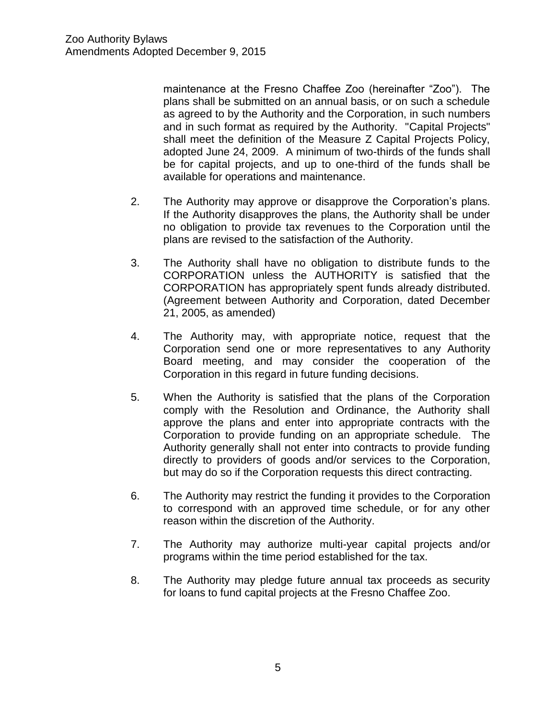maintenance at the Fresno Chaffee Zoo (hereinafter "Zoo"). The plans shall be submitted on an annual basis, or on such a schedule as agreed to by the Authority and the Corporation, in such numbers and in such format as required by the Authority. "Capital Projects" shall meet the definition of the Measure Z Capital Projects Policy, adopted June 24, 2009. A minimum of two-thirds of the funds shall be for capital projects, and up to one-third of the funds shall be available for operations and maintenance.

- 2. The Authority may approve or disapprove the Corporation's plans. If the Authority disapproves the plans, the Authority shall be under no obligation to provide tax revenues to the Corporation until the plans are revised to the satisfaction of the Authority.
- 3. The Authority shall have no obligation to distribute funds to the CORPORATION unless the AUTHORITY is satisfied that the CORPORATION has appropriately spent funds already distributed. (Agreement between Authority and Corporation, dated December 21, 2005, as amended)
- 4. The Authority may, with appropriate notice, request that the Corporation send one or more representatives to any Authority Board meeting, and may consider the cooperation of the Corporation in this regard in future funding decisions.
- 5. When the Authority is satisfied that the plans of the Corporation comply with the Resolution and Ordinance, the Authority shall approve the plans and enter into appropriate contracts with the Corporation to provide funding on an appropriate schedule. The Authority generally shall not enter into contracts to provide funding directly to providers of goods and/or services to the Corporation, but may do so if the Corporation requests this direct contracting.
- 6. The Authority may restrict the funding it provides to the Corporation to correspond with an approved time schedule, or for any other reason within the discretion of the Authority.
- 7. The Authority may authorize multi-year capital projects and/or programs within the time period established for the tax.
- 8. The Authority may pledge future annual tax proceeds as security for loans to fund capital projects at the Fresno Chaffee Zoo.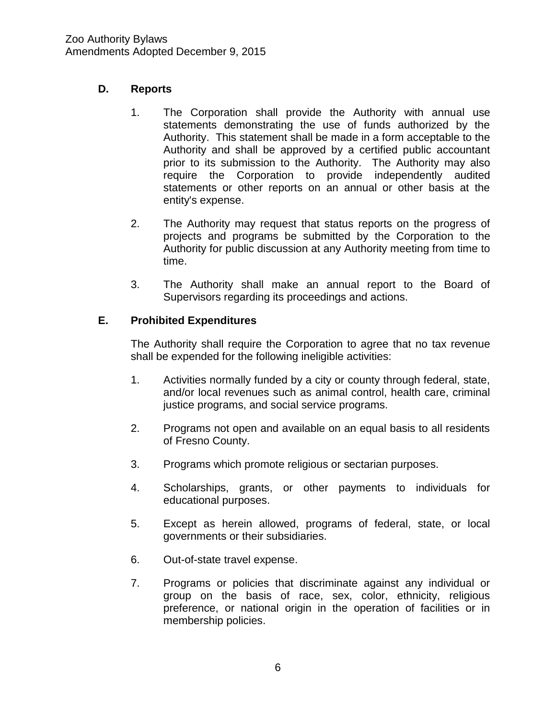## **D. Reports**

- 1. The Corporation shall provide the Authority with annual use statements demonstrating the use of funds authorized by the Authority. This statement shall be made in a form acceptable to the Authority and shall be approved by a certified public accountant prior to its submission to the Authority. The Authority may also require the Corporation to provide independently audited statements or other reports on an annual or other basis at the entity's expense.
- 2. The Authority may request that status reports on the progress of projects and programs be submitted by the Corporation to the Authority for public discussion at any Authority meeting from time to time.
- 3. The Authority shall make an annual report to the Board of Supervisors regarding its proceedings and actions.

## **E. Prohibited Expenditures**

The Authority shall require the Corporation to agree that no tax revenue shall be expended for the following ineligible activities:

- 1. Activities normally funded by a city or county through federal, state, and/or local revenues such as animal control, health care, criminal justice programs, and social service programs.
- 2. Programs not open and available on an equal basis to all residents of Fresno County.
- 3. Programs which promote religious or sectarian purposes.
- 4. Scholarships, grants, or other payments to individuals for educational purposes.
- 5. Except as herein allowed, programs of federal, state, or local governments or their subsidiaries.
- 6. Out-of-state travel expense.
- 7. Programs or policies that discriminate against any individual or group on the basis of race, sex, color, ethnicity, religious preference, or national origin in the operation of facilities or in membership policies.